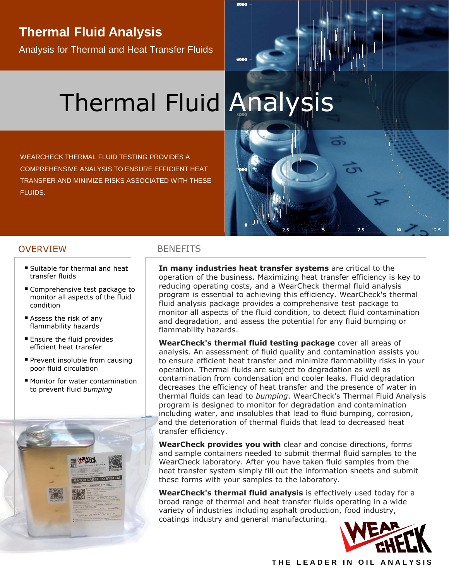# **Thermal Fluid Analysis**

Analysis for Thermal and Heat Transfer Fluids

# Thermal Fluid Analysis

WEARCHECK THERMAL FLUID TESTING PROVIDES A COMPREHENSIVE ANALYSIS TO ENSURE EFFICIENT HEAT TRANSFER AND MINIMIZE RISKS ASSOCIATED WITH THESE FLUIDS.



### OVERVIEW BENEFITS

- Suitable for thermal and heat transfer fluids
- Comprehensive test package to monitor all aspects of the fluid condition
- Assess the risk of any flammability hazards
- Ensure the fluid provides efficient heat transfer
- **Prevent insoluble from causing** poor fluid circulation
- Monitor for water contamination to prevent fluid *bumping*



**In many industries heat transfer systems** are critical to the operation of the business. Maximizing heat transfer efficiency is key to reducing operating costs, and a WearCheck thermal fluid analysis program is essential to achieving this efficiency. WearCheck's thermal fluid analysis package provides a comprehensive test package to monitor all aspects of the fluid condition, to detect fluid contamination and degradation, and assess the potential for any fluid bumping or flammability hazards.

**WearCheck's thermal fluid testing package** cover all areas of analysis. An assessment of fluid quality and contamination assists you to ensure efficient heat transfer and minimize flammability risks in your operation. Thermal fluids are subject to degradation as well as contamination from condensation and cooler leaks. Fluid degradation decreases the efficiency of heat transfer and the presence of water in thermal fluids can lead to *bumping*. WearCheck's Thermal Fluid Analysis program is designed to monitor for degradation and contamination including water, and insolubles that lead to fluid bumping, corrosion, and the deterioration of thermal fluids that lead to decreased heat transfer efficiency.

**WearCheck provides you with** clear and concise directions, forms and sample containers needed to submit thermal fluid samples to the WearCheck laboratory. After you have taken fluid samples from the heat transfer system simply fill out the information sheets and submit these forms with your samples to the laboratory.

**WearCheck's thermal fluid analysis** is effectively used today for a broad range of thermal and heat transfer fluids operating in a wide variety of industries including asphalt production, food industry, coatings industry and general manufacturing.



**THE LEADER IN OIL ANALYSIS**